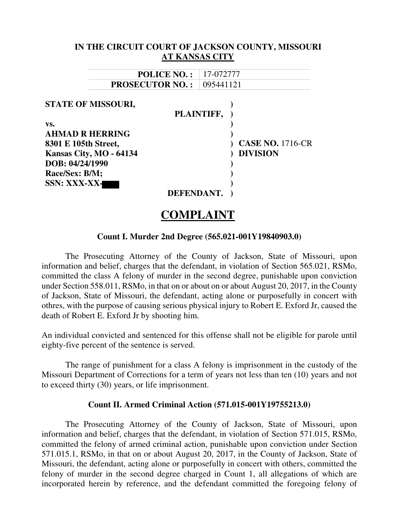|                                                                                                                                                                    | IN THE CIRCUIT COURT OF JACKSON COUNTY, MISSOURI         |
|--------------------------------------------------------------------------------------------------------------------------------------------------------------------|----------------------------------------------------------|
| <b>AT KANSAS CITY</b>                                                                                                                                              |                                                          |
| <b>POLICE NO.:</b>                                                                                                                                                 | 17-072777                                                |
| <b>PROSECUTOR NO.:</b>                                                                                                                                             | 095441121                                                |
| <b>STATE OF MISSOURI,</b><br>VS.<br><b>AHMAD R HERRING</b><br>8301 E 105th Street,<br>Kansas City, MO - 64134<br>DOB: 04/24/1990<br>Race/Sex: B/M;<br>SSN: XXX-XX- | PLAINTIFF,<br><b>CASE NO. 1716-CR</b><br><b>DIVISION</b> |
| DEFENDANT.                                                                                                                                                         |                                                          |

# **COMPLAINT**

#### **Count I. Murder 2nd Degree (565.021-001Y19840903.0)**

The Prosecuting Attorney of the County of Jackson, State of Missouri, upon information and belief, charges that the defendant, in violation of Section 565.021, RSMo, committed the class A felony of murder in the second degree, punishable upon conviction under Section 558.011, RSMo, in that on or about on or about August 20, 2017, in the County of Jackson, State of Missouri, the defendant, acting alone or purposefully in concert with othres, with the purpose of causing serious physical injury to Robert E. Exford Jr, caused the death of Robert E. Exford Jr by shooting him.

An individual convicted and sentenced for this offense shall not be eligible for parole until eighty-five percent of the sentence is served.

The range of punishment for a class A felony is imprisonment in the custody of the Missouri Department of Corrections for a term of years not less than ten (10) years and not to exceed thirty (30) years, or life imprisonment.

#### **Count II. Armed Criminal Action (571.015-001Y19755213.0)**

The Prosecuting Attorney of the County of Jackson, State of Missouri, upon information and belief, charges that the defendant, in violation of Section 571.015, RSMo, committed the felony of armed criminal action, punishable upon conviction under Section 571.015.1, RSMo, in that on or about August 20, 2017, in the County of Jackson, State of Missouri, the defendant, acting alone or purposefully in concert with others, committed the felony of murder in the second degree charged in Count 1, all allegations of which are incorporated herein by reference, and the defendant committed the foregoing felony of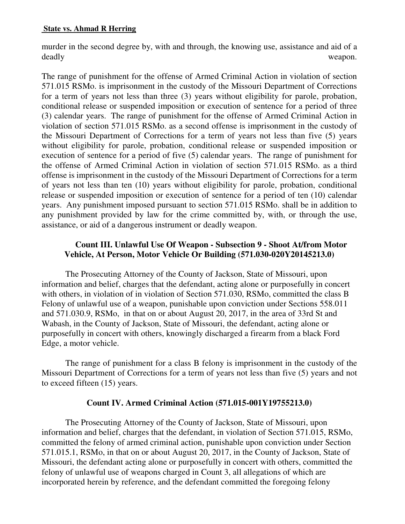## **State vs. Ahmad R Herring**

murder in the second degree by, with and through, the knowing use, assistance and aid of a deadly weapon.

The range of punishment for the offense of Armed Criminal Action in violation of section 571.015 RSMo. is imprisonment in the custody of the Missouri Department of Corrections for a term of years not less than three (3) years without eligibility for parole, probation, conditional release or suspended imposition or execution of sentence for a period of three (3) calendar years. The range of punishment for the offense of Armed Criminal Action in violation of section 571.015 RSMo. as a second offense is imprisonment in the custody of the Missouri Department of Corrections for a term of years not less than five (5) years without eligibility for parole, probation, conditional release or suspended imposition or execution of sentence for a period of five (5) calendar years. The range of punishment for the offense of Armed Criminal Action in violation of section 571.015 RSMo. as a third offense is imprisonment in the custody of the Missouri Department of Corrections for a term of years not less than ten (10) years without eligibility for parole, probation, conditional release or suspended imposition or execution of sentence for a period of ten (10) calendar years. Any punishment imposed pursuant to section 571.015 RSMo. shall be in addition to any punishment provided by law for the crime committed by, with, or through the use, assistance, or aid of a dangerous instrument or deadly weapon.

## **Count III. Unlawful Use Of Weapon - Subsection 9 - Shoot At/from Motor Vehicle, At Person, Motor Vehicle Or Building (571.030-020Y20145213.0)**

The Prosecuting Attorney of the County of Jackson, State of Missouri, upon information and belief, charges that the defendant, acting alone or purposefully in concert with others, in violation of in violation of Section 571.030, RSMo, committed the class B Felony of unlawful use of a weapon, punishable upon conviction under Sections 558.011 and 571.030.9, RSMo, in that on or about August 20, 2017, in the area of 33rd St and Wabash, in the County of Jackson, State of Missouri, the defendant, acting alone or purposefully in concert with others, knowingly discharged a firearm from a black Ford Edge, a motor vehicle.

The range of punishment for a class B felony is imprisonment in the custody of the Missouri Department of Corrections for a term of years not less than five (5) years and not to exceed fifteen (15) years.

## **Count IV. Armed Criminal Action (571.015-001Y19755213.0)**

The Prosecuting Attorney of the County of Jackson, State of Missouri, upon information and belief, charges that the defendant, in violation of Section 571.015, RSMo, committed the felony of armed criminal action, punishable upon conviction under Section 571.015.1, RSMo, in that on or about August 20, 2017, in the County of Jackson, State of Missouri, the defendant acting alone or purposefully in concert with others, committed the felony of unlawful use of weapons charged in Count 3, all allegations of which are incorporated herein by reference, and the defendant committed the foregoing felony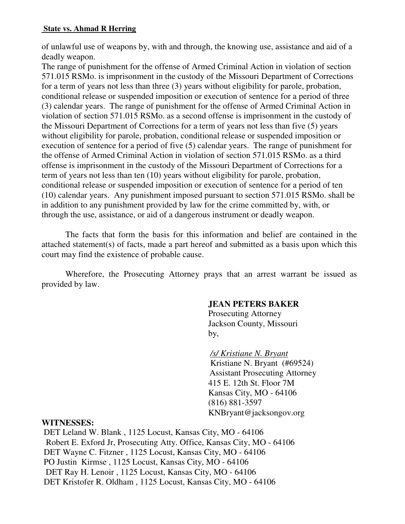## **State vs. Ahmad R Herring**

of unlawful use of weapons by, with and through, the knowing use, assistance and aid of a deadly weapon.

The range of punishment for the offense of Armed Criminal Action in violation of section 571.015 RSMo. is imprisonment in the custody of the Missouri Department of Corrections for a term of years not less than three (3) years without eligibility for parole, probation, conditional release or suspended imposition or execution of sentence for a period of three (3) calendar years. The range of punishment for the offense of Armed Criminal Action in violation of section 571.015 RSMo. as a second offense is imprisonment in the custody of the Missouri Department of Corrections for a term of years not less than five (5) years without eligibility for parole, probation, conditional release or suspended imposition or execution of sentence for a period of five (5) calendar years. The range of punishment for the offense of Armed Criminal Action in violation of section 571.015 RSMo. as a third offense is imprisonment in the custody of the Missouri Department of Corrections for a term of years not less than ten (10) years without eligibility for parole, probation, conditional release or suspended imposition or execution of sentence for a period of ten (10) calendar years. Any punishment imposed pursuant to section 571.015 RSMo. shall be in addition to any punishment provided by law for the crime committed by, with, or through the use, assistance, or aid of a dangerous instrument or deadly weapon.

The facts that form the basis for this information and belief are contained in the attached statement(s) of facts, made a part hereof and submitted as a basis upon which this court may find the existence of probable cause.

Wherefore, the Prosecuting Attorney prays that an arrest warrant be issued as provided by law.

## **JEAN PETERS BAKER**

 Prosecuting Attorney Jackson County, Missouri by,

> */s/ Kristiane N. Bryant*  Kristiane N. Bryant (#69524) Assistant Prosecuting Attorney 415 E. 12th St. Floor 7M Kansas City, MO - 64106 (816) 881-3597 KNBryant@jacksongov.org

## **WITNESSES:**

 DET Leland W. Blank , 1125 Locust, Kansas City, MO - 64106 Robert E. Exford Jr, Prosecuting Atty. Office, Kansas City, MO - 64106 DET Wayne C. Fitzner , 1125 Locust, Kansas City, MO - 64106 PO Justin Kirmse , 1125 Locust, Kansas City, MO - 64106 DET Ray H. Lenoir , 1125 Locust, Kansas City, MO - 64106 DET Kristofer R. Oldham , 1125 Locust, Kansas City, MO - 64106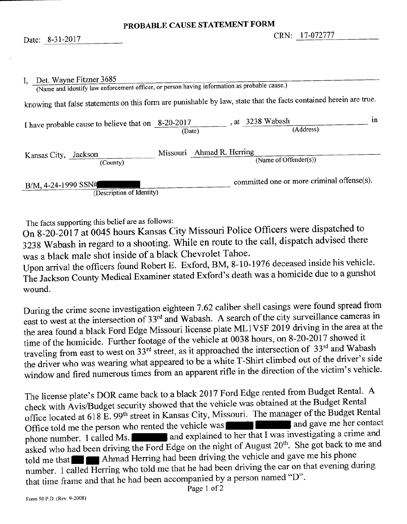| I, Det. Wayne Fitzner 3685<br>(Name and identify law enforcement officer, or person having information as probable cause.) |        |                           |                                            |    |
|----------------------------------------------------------------------------------------------------------------------------|--------|---------------------------|--------------------------------------------|----|
| knowing that false statements on this form are punishable by law, state that the facts contained herein are true.          |        |                           |                                            |    |
| I have probable cause to believe that on 8-20-2017                                                                         | (Date) |                           | , at 3238 Wabash<br>(Address)              | ın |
| Kansas City, Jackson<br>(County)                                                                                           |        | Missouri Ahmad R. Herring | (Name of Offender(s))                      |    |
| B/M, 4-24-1990 SSN#<br>(Description of Identity)                                                                           |        |                           | committed one or more criminal offense(s). |    |

The facts supporting this belief are as follows:

On 8-20-2017 at 0045 hours Kansas City Missouri Police Officers were dispatched to 3238 Wabash in regard to a shooting. While en route to the call, dispatch advised there was a black male shot inside of a black Chevrolet Tahoe.

Upon arrival the officers found Robert E. Exford, BM, 8-10-1976 deceased inside his vehicle. The Jackson County Medical Examiner stated Exford's death was a homicide due to a gunshot wound.

During the crime scene investigation eighteen 7.62 caliber shell casings were found spread from east to west at the intersection of 33<sup>rd</sup> and Wabash. A search of the city surveillance cameras in the area found a black Ford Edge Missouri license plate ML1V5F 2019 driving in the area at the time of the homicide. Further footage of the vehicle at 0038 hours, on 8-20-2017 showed it traveling from east to west on 33<sup>rd</sup> street, as it approached the intersection of 33<sup>rd</sup> and Wabash the driver who was wearing what appeared to be a white T-Shirt climbed out of the driver's side window and fired numerous times from an apparent rifle in the direction of the victim's vehicle.

The license plate's DOR came back to a black 2017 Ford Edge rented from Budget Rental. A check with Avis/Budget security showed that the vehicle was obtained at the Budget Rental office located at 618 E. 99<sup>th</sup> street in Kansas City, Missouri. The manager of the Budget Rental Office told me the person who rented the vehicle was **the set of the same is and gave me her contact** phone number. I called Ms.  $\Box$  and explained to her that I was investigating a crime and asked who had been driving the Ford Edge on the night of August 20<sup>th</sup>. She got back to me and told me that **the Ahmad Herring had been driving the vehicle and gave me his phone** number. I called Herring who told me that he had been driving the car on that evening during that time frame and that he had been accompanied by a person named "D".